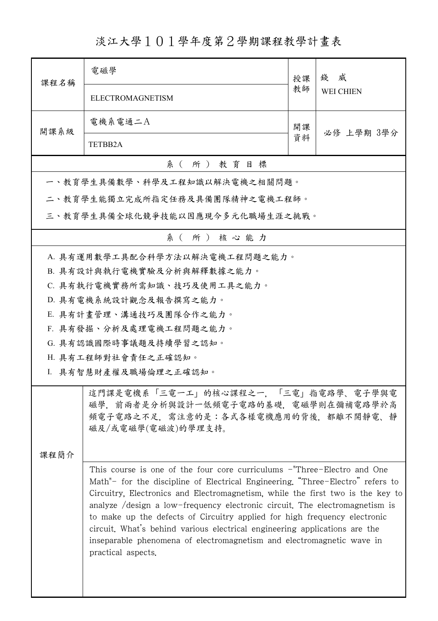淡江大學101學年度第2學期課程教學計畫表

| 課程名稱                                                                                                                                    | 電磁學                                                                                                                                                                                                                                                                                                                                                                                                                                                                                                                                                                                  | 授課 | 威<br>錢<br><b>WEI CHIEN</b> |  |  |
|-----------------------------------------------------------------------------------------------------------------------------------------|--------------------------------------------------------------------------------------------------------------------------------------------------------------------------------------------------------------------------------------------------------------------------------------------------------------------------------------------------------------------------------------------------------------------------------------------------------------------------------------------------------------------------------------------------------------------------------------|----|----------------------------|--|--|
|                                                                                                                                         | ELECTROMAGNETISM                                                                                                                                                                                                                                                                                                                                                                                                                                                                                                                                                                     | 教師 |                            |  |  |
| 開課系級                                                                                                                                    | 電機系電通二A                                                                                                                                                                                                                                                                                                                                                                                                                                                                                                                                                                              | 開課 | 必修 上學期 3學分                 |  |  |
|                                                                                                                                         | <b>TETBB2A</b>                                                                                                                                                                                                                                                                                                                                                                                                                                                                                                                                                                       | 資料 |                            |  |  |
|                                                                                                                                         | 系(所)教育目標                                                                                                                                                                                                                                                                                                                                                                                                                                                                                                                                                                             |    |                            |  |  |
|                                                                                                                                         | 一、教育學生具備數學、科學及工程知識以解決電機之相關問題。                                                                                                                                                                                                                                                                                                                                                                                                                                                                                                                                                        |    |                            |  |  |
|                                                                                                                                         | 二、教育學生能獨立完成所指定任務及具備團隊精神之電機工程師。                                                                                                                                                                                                                                                                                                                                                                                                                                                                                                                                                       |    |                            |  |  |
|                                                                                                                                         | 三、教育學生具備全球化競爭技能以因應現今多元化職場生涯之挑戰。                                                                                                                                                                                                                                                                                                                                                                                                                                                                                                                                                      |    |                            |  |  |
|                                                                                                                                         | 系(所)核心能力                                                                                                                                                                                                                                                                                                                                                                                                                                                                                                                                                                             |    |                            |  |  |
|                                                                                                                                         | A. 具有運用數學工具配合科學方法以解決電機工程問題之能力。                                                                                                                                                                                                                                                                                                                                                                                                                                                                                                                                                       |    |                            |  |  |
|                                                                                                                                         | B. 具有設計與執行電機實驗及分析與解釋數據之能力。                                                                                                                                                                                                                                                                                                                                                                                                                                                                                                                                                           |    |                            |  |  |
|                                                                                                                                         | C. 具有執行電機實務所需知識、技巧及使用工具之能力。                                                                                                                                                                                                                                                                                                                                                                                                                                                                                                                                                          |    |                            |  |  |
|                                                                                                                                         | D. 具有電機系統設計觀念及報告撰寫之能力。                                                                                                                                                                                                                                                                                                                                                                                                                                                                                                                                                               |    |                            |  |  |
|                                                                                                                                         | E. 具有計畫管理、溝通技巧及團隊合作之能力。                                                                                                                                                                                                                                                                                                                                                                                                                                                                                                                                                              |    |                            |  |  |
|                                                                                                                                         | F. 具有發掘、分析及處理電機工程問題之能力。                                                                                                                                                                                                                                                                                                                                                                                                                                                                                                                                                              |    |                            |  |  |
|                                                                                                                                         | G. 具有認識國際時事議題及持續學習之認知。                                                                                                                                                                                                                                                                                                                                                                                                                                                                                                                                                               |    |                            |  |  |
|                                                                                                                                         | H. 具有工程師對社會責任之正確認知。                                                                                                                                                                                                                                                                                                                                                                                                                                                                                                                                                                  |    |                            |  |  |
|                                                                                                                                         | I. 具有智慧財產權及職場倫理之正確認知。                                                                                                                                                                                                                                                                                                                                                                                                                                                                                                                                                                |    |                            |  |  |
| 這門課是電機系「三電一工」的核心課程之一,「三電」指電路學、電子學與電<br>磁學,前兩者是分析與設計一低頻電子電路的基礎,電磁學則在彌補電路學於高<br>頻電子電路之不足,需注意的是:各式各樣電機應用的背後,都離不開靜電、靜<br>磁及/或電磁學(電磁波)的學理支持。 |                                                                                                                                                                                                                                                                                                                                                                                                                                                                                                                                                                                      |    |                            |  |  |
| 课程简介                                                                                                                                    |                                                                                                                                                                                                                                                                                                                                                                                                                                                                                                                                                                                      |    |                            |  |  |
|                                                                                                                                         | This course is one of the four core curriculums - Three-Electro and One<br>Math"- for the discipline of Electrical Engineering. "Three-Electro" refers to<br>Circuitry, Electronics and Electromagnetism, while the first two is the key to<br>analyze /design a low-frequency electronic circuit. The electromagnetism is<br>to make up the defects of Circuitry applied for high frequency electronic<br>circuit. What's behind various electrical engineering applications are the<br>inseparable phenomena of electromagnetism and electromagnetic wave in<br>practical aspects. |    |                            |  |  |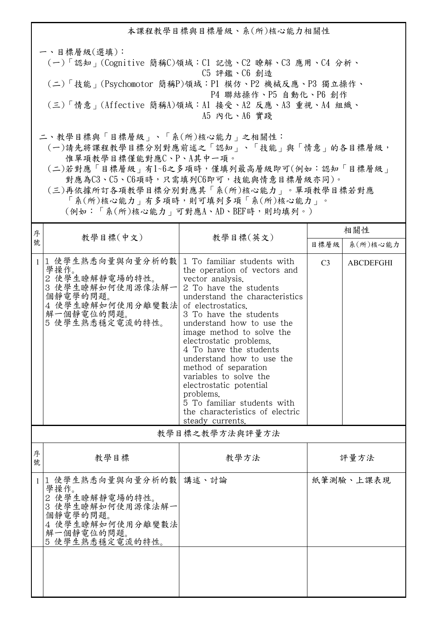本課程教學目標與目標層級、系(所)核心能力相關性 一、目標層級(選填): (一)「認知」(Cognitive 簡稱C)領域:C1 記憶、C2 瞭解、C3 應用、C4 分析、 C5 評鑑、C6 創造 (二)「技能」(Psychomotor 簡稱P)領域:P1 模仿、P2 機械反應、P3 獨立操作、 P4 聯結操作、P5 自動化、P6 創作 (三)「情意」(Affective 簡稱A)領域:A1 接受、A2 反應、A3 重視、A4 組織、 A5 內化、A6 實踐 二、教學目標與「目標層級」、「系(所)核心能力」之相關性:

 (一)請先將課程教學目標分別對應前述之「認知」、「技能」與「情意」的各目標層級, 惟單項教學目標僅能對應C、P、A其中一項。

 (二)若對應「目標層級」有1~6之多項時,僅填列最高層級即可(例如:認知「目標層級」 對應為C3、C5、C6項時,只需填列C6即可,技能與情意目標層級亦同)。

 (三)再依據所訂各項教學目標分別對應其「系(所)核心能力」。單項教學目標若對應 「系(所)核心能力」有多項時,則可填列多項「系(所)核心能力」。

(例如:「系(所)核心能力」可對應A、AD、BEF時,則均填列。)

| 序            |                                                                                                                                  |                                                                                                                                                                                                                                                                                                                                                                                                                                                                                                                         | 相關性            |                  |  |  |
|--------------|----------------------------------------------------------------------------------------------------------------------------------|-------------------------------------------------------------------------------------------------------------------------------------------------------------------------------------------------------------------------------------------------------------------------------------------------------------------------------------------------------------------------------------------------------------------------------------------------------------------------------------------------------------------------|----------------|------------------|--|--|
| 號            | 教學目標(中文)                                                                                                                         | 教學目標(英文)                                                                                                                                                                                                                                                                                                                                                                                                                                                                                                                | 目標層級           | 系(所)核心能力         |  |  |
| $\mathbf{1}$ | 1 使學生熟悉向量與向量分析的數<br>學操作。<br>2 使學生瞭解靜電場的特性。<br>3 使學生瞭解如何使用源像法解一<br>個靜電學的問題。<br>4 使學生瞭解如何使用分離變數法 <br>解一個靜電位的問題。<br>5 使學生熟悉穩定電流的特性。 | 1 To familiar students with<br>the operation of vectors and<br>vector analysis.<br>2 To have the students<br>understand the characteristics<br>of electrostatics.<br>3 To have the students<br>understand how to use the<br>image method to solve the<br>electrostatic problems.<br>4 To have the students<br>understand how to use the<br>method of separation<br>variables to solve the<br>electrostatic potential<br>problems.<br>5 To familiar students with<br>the characteristics of electric<br>steady currents. | C <sub>3</sub> | <b>ABCDEFGHI</b> |  |  |
|              | 教學目標之教學方法與評量方法                                                                                                                   |                                                                                                                                                                                                                                                                                                                                                                                                                                                                                                                         |                |                  |  |  |
| 序<br>號       | 教學目標                                                                                                                             | 教學方法                                                                                                                                                                                                                                                                                                                                                                                                                                                                                                                    | 評量方法           |                  |  |  |
|              | 1 1 使學生熟悉向量與向量分析的數  講述、討論<br>學操作。                                                                                                |                                                                                                                                                                                                                                                                                                                                                                                                                                                                                                                         |                | 紙筆測驗、上課表現        |  |  |

| 学探作。<br>使學生瞭解靜電場的特性。<br>2<br>3 使學生瞭解如何使用源像法解一<br>個靜電學的問題。<br>使學生瞭解如何使用分離變數法<br>4<br>解一個靜電位的問題。<br>5 使學生熟悉穩定電流的特性。 |  |
|-------------------------------------------------------------------------------------------------------------------|--|
|                                                                                                                   |  |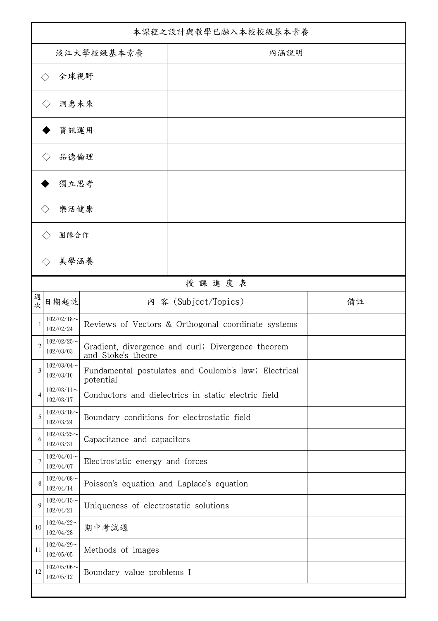| 本課程之設計與教學已融入本校校級基本素養 |                               |                                                                         |                                                     |    |
|----------------------|-------------------------------|-------------------------------------------------------------------------|-----------------------------------------------------|----|
| 淡江大學校級基本素養           |                               |                                                                         | 內涵說明                                                |    |
|                      | 全球視野                          |                                                                         |                                                     |    |
|                      | 洞悉未來                          |                                                                         |                                                     |    |
|                      | 資訊運用                          |                                                                         |                                                     |    |
|                      | 品德倫理                          |                                                                         |                                                     |    |
|                      | 獨立思考                          |                                                                         |                                                     |    |
| 樂活健康                 |                               |                                                                         |                                                     |    |
|                      | 團隊合作                          |                                                                         |                                                     |    |
|                      |                               |                                                                         |                                                     |    |
|                      | 美學涵養                          |                                                                         |                                                     |    |
| 授課進度表                |                               |                                                                         |                                                     |    |
| 週<br>次               | 日期起訖                          |                                                                         | 內 容 (Subject/Topics)                                | 備註 |
|                      | $102/02/18$ ~<br>102/02/24    | Reviews of Vectors & Orthogonal coordinate systems                      |                                                     |    |
| 2                    | $102/02/25$ ~<br>102/03/03    | Gradient, divergence and curl; Divergence theorem<br>and Stoke's theore |                                                     |    |
| 3                    | $102/03/04$ ~<br>102/03/10    | Fundamental postulates and Coulomb's law; Electrical<br>potential       |                                                     |    |
| 4                    | $102/03/11$ ~<br>102/03/17    |                                                                         | Conductors and dielectrics in static electric field |    |
| 5                    | $102/03/18$ ~<br>102/03/24    | Boundary conditions for electrostatic field                             |                                                     |    |
| 6                    | $102/03/25$ ~<br>102/03/31    | Capacitance and capacitors                                              |                                                     |    |
| 7                    | $102/04/01$ ~<br>102/04/07    | Electrostatic energy and forces                                         |                                                     |    |
| 8                    | $102/04/08$ ~<br>102/04/14    | Poisson's equation and Laplace's equation                               |                                                     |    |
| $\mathbf Q$          | $102/04/15$ ~<br>102/04/21    | Uniqueness of electrostatic solutions                                   |                                                     |    |
| 10                   | $102/04/22$ ~<br>102/04/28    | 期中考試週                                                                   |                                                     |    |
| 11                   | $102/04/29$ ~<br>102/05/05    | Methods of images                                                       |                                                     |    |
| 12                   | $102/05/06 \sim$<br>102/05/12 | Boundary value problems I                                               |                                                     |    |
|                      |                               |                                                                         |                                                     |    |